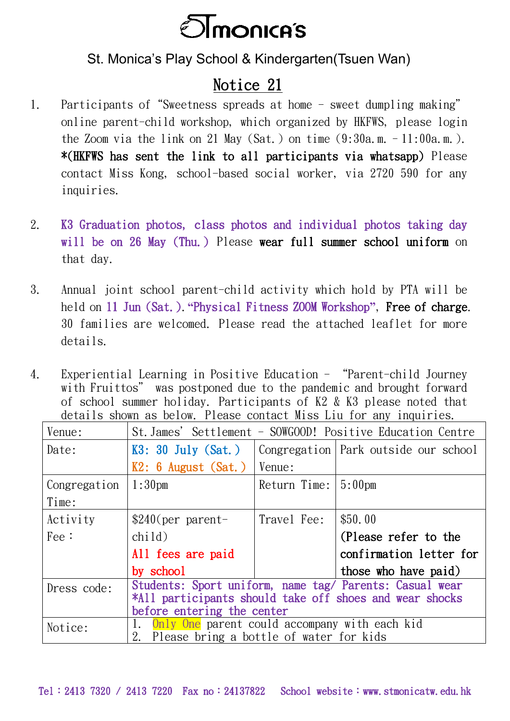

St. Monica's Play School & Kindergarten(Tsuen Wan)

## Notice 21

- 1. Participants of"Sweetness spreads at home sweet dumpling making" online parent-child workshop, which organized by HKFWS, please login the Zoom via the link on 21 May (Sat.) on time  $(9:30a \ldots -11:00a \ldots)$ . \*(HKFWS has sent the link to all participants via whatsapp) Please contact Miss Kong, school-based social worker, via 2720 590 for any inquiries.
- 2. K3 Graduation photos, class photos and individual photos taking day will be on 26 May (Thu.) Please wear full summer school uniform on that day.
- 3. Annual joint school parent-child activity which hold by PTA will be held on 11 Jun (Sat.).**"**Physical Fitness ZOOM Workshop**"**, Free of charge. 30 families are welcomed. Please read the attached leaflet for more details.
- 4. Experiential Learning in Positive Education "Parent-child Journey with Fruittos" was postponed due to the pandemic and brought forward of school summer holiday. Participants of K2 & K3 please noted that details shown as below. Please contact Miss Liu for any inquiries.

| Venue:        | St. James' Settlement - SOWGOOD! Positive Education Centre                                                                                       |              |                                        |
|---------------|--------------------------------------------------------------------------------------------------------------------------------------------------|--------------|----------------------------------------|
| Date:         | $K3: 30$ July (Sat.)                                                                                                                             |              | Congregation   Park outside our school |
|               | $K2: 6$ August (Sat.)                                                                                                                            | Venue:       |                                        |
| Congregation  | 1:30 <sub>pm</sub>                                                                                                                               | Return Time: | $5:00$ pm                              |
| Time:         |                                                                                                                                                  |              |                                        |
| Activity      | $$240$ (per parent-                                                                                                                              | Travel Fee:  | \$50.00                                |
| $\text{Fe}$ : | child)                                                                                                                                           |              | (Please refer to the                   |
|               | All fees are paid                                                                                                                                |              | confirmation letter for                |
|               | by school                                                                                                                                        |              | those who have paid)                   |
| Dress code:   | Students: Sport uniform, name tag/ Parents: Casual wear<br>*All participants should take off shoes and wear shocks<br>before entering the center |              |                                        |
|               | 1. Only One parent could accompany with each kid                                                                                                 |              |                                        |
| Notice:       | 2. Please bring a bottle of water for kids                                                                                                       |              |                                        |